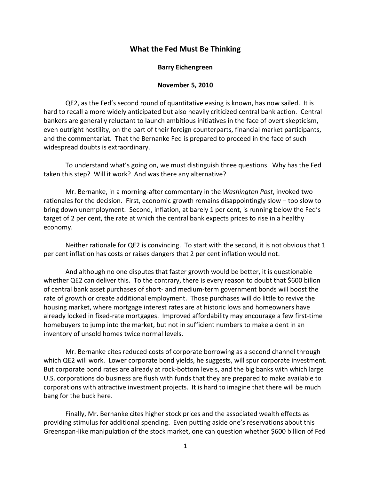## **What the Fed Must Be Thinking**

## **Barry Eichengreen**

## **November 5, 2010**

QE2, as the Fed's second round of quantitative easing is known, has now sailed. It is hard to recall a more widely anticipated but also heavily criticized central bank action. Central bankers are generally reluctant to launch ambitious initiatives in the face of overt skepticism, even outright hostility, on the part of their foreign counterparts, financial market participants, and the commentariat. That the Bernanke Fed is prepared to proceed in the face of such widespread doubts is extraordinary.

To understand what's going on, we must distinguish three questions. Why has the Fed taken this step? Will it work? And was there any alternative?

Mr. Bernanke, in a morning-after commentary in the *Washington Post*, invoked two rationales for the decision. First, economic growth remains disappointingly slow – too slow to bring down unemployment. Second, inflation, at barely 1 per cent, is running below the Fed's target of 2 per cent, the rate at which the central bank expects prices to rise in a healthy economy.

Neither rationale for QE2 is convincing. To start with the second, it is not obvious that 1 per cent inflation has costs or raises dangers that 2 per cent inflation would not.

And although no one disputes that faster growth would be better, it is questionable whether QE2 can deliver this. To the contrary, there is every reason to doubt that \$600 billon of central bank asset purchases of short- and medium-term government bonds will boost the rate of growth or create additional employment. Those purchases will do little to revive the housing market, where mortgage interest rates are at historic lows and homeowners have already locked in fixed-rate mortgages. Improved affordability may encourage a few first-time homebuyers to jump into the market, but not in sufficient numbers to make a dent in an inventory of unsold homes twice normal levels.

Mr. Bernanke cites reduced costs of corporate borrowing as a second channel through which QE2 will work. Lower corporate bond yields, he suggests, will spur corporate investment. But corporate bond rates are already at rock-bottom levels, and the big banks with which large U.S. corporations do business are flush with funds that they are prepared to make available to corporations with attractive investment projects. It is hard to imagine that there will be much bang for the buck here.

Finally, Mr. Bernanke cites higher stock prices and the associated wealth effects as providing stimulus for additional spending. Even putting aside one's reservations about this Greenspan-like manipulation of the stock market, one can question whether \$600 billion of Fed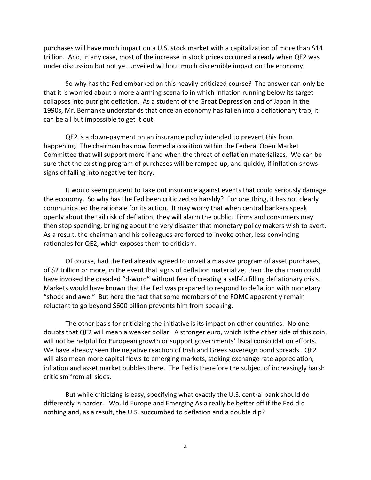purchases will have much impact on a U.S. stock market with a capitalization of more than \$14 trillion. And, in any case, most of the increase in stock prices occurred already when QE2 was under discussion but not yet unveiled without much discernible impact on the economy.

So why has the Fed embarked on this heavily-criticized course? The answer can only be that it is worried about a more alarming scenario in which inflation running below its target collapses into outright deflation. As a student of the Great Depression and of Japan in the 1990s, Mr. Bernanke understands that once an economy has fallen into a deflationary trap, it can be all but impossible to get it out.

QE2 is a down-payment on an insurance policy intended to prevent this from happening. The chairman has now formed a coalition within the Federal Open Market Committee that will support more if and when the threat of deflation materializes. We can be sure that the existing program of purchases will be ramped up, and quickly, if inflation shows signs of falling into negative territory.

It would seem prudent to take out insurance against events that could seriously damage the economy. So why has the Fed been criticized so harshly? For one thing, it has not clearly communicated the rationale for its action. It may worry that when central bankers speak openly about the tail risk of deflation, they will alarm the public. Firms and consumers may then stop spending, bringing about the very disaster that monetary policy makers wish to avert. As a result, the chairman and his colleagues are forced to invoke other, less convincing rationales for QE2, which exposes them to criticism.

Of course, had the Fed already agreed to unveil a massive program of asset purchases, of \$2 trillion or more, in the event that signs of deflation materialize, then the chairman could have invoked the dreaded "d-word" without fear of creating a self-fulfilling deflationary crisis. Markets would have known that the Fed was prepared to respond to deflation with monetary "shock and awe." But here the fact that some members of the FOMC apparently remain reluctant to go beyond \$600 billion prevents him from speaking.

The other basis for criticizing the initiative is its impact on other countries. No one doubts that QE2 will mean a weaker dollar. A stronger euro, which is the other side of this coin, will not be helpful for European growth or support governments' fiscal consolidation efforts. We have already seen the negative reaction of Irish and Greek sovereign bond spreads. QE2 will also mean more capital flows to emerging markets, stoking exchange rate appreciation, inflation and asset market bubbles there. The Fed is therefore the subject of increasingly harsh criticism from all sides.

But while criticizing is easy, specifying what exactly the U.S. central bank should do differently is harder. Would Europe and Emerging Asia really be better off if the Fed did nothing and, as a result, the U.S. succumbed to deflation and a double dip?